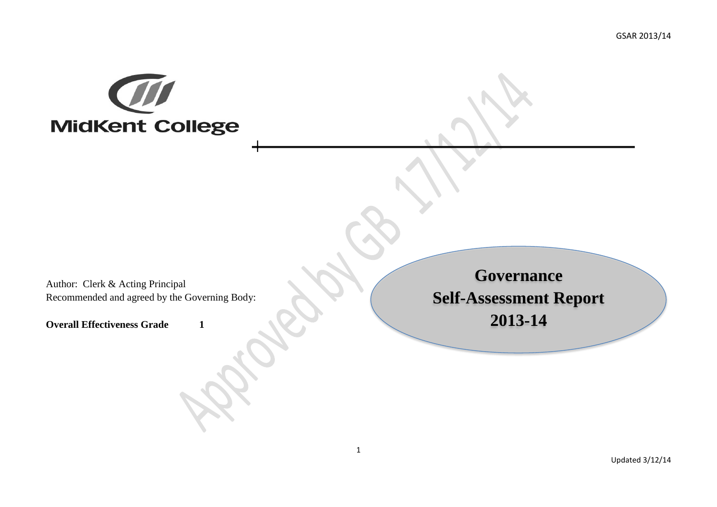

Author: Clerk & Acting Principal Recommended and agreed by the Governing Body:

**Overall Effectiveness Grade** 1

**Governance Self-Assessment Report 2013-14**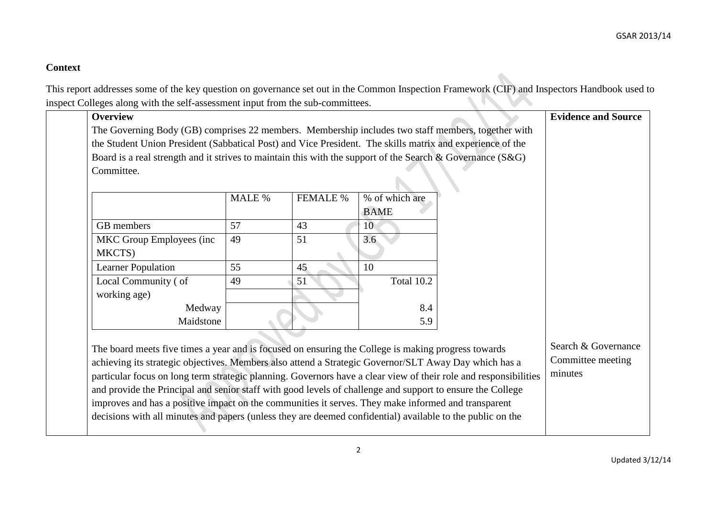## **Context**

This report addresses some of the key question on governance set out in the Common Inspection Framework (CIF) and Inspectors Handbook used to inspect Colleges along with the self-assessment input from the sub-committees inspect Colleges along with the self-assessment input from the sub-committees.

|                                                                                                                  |        |                 |                |                                                                                                    | <b>Evidence and Source</b> |
|------------------------------------------------------------------------------------------------------------------|--------|-----------------|----------------|----------------------------------------------------------------------------------------------------|----------------------------|
|                                                                                                                  |        |                 |                | The Governing Body (GB) comprises 22 members. Membership includes two staff members, together with |                            |
| the Student Union President (Sabbatical Post) and Vice President. The skills matrix and experience of the        |        |                 |                |                                                                                                    |                            |
| Board is a real strength and it strives to maintain this with the support of the Search & Governance $(S & G)$   |        |                 |                |                                                                                                    |                            |
| Committee.                                                                                                       |        |                 |                |                                                                                                    |                            |
|                                                                                                                  |        |                 |                |                                                                                                    |                            |
|                                                                                                                  | MALE % | <b>FEMALE %</b> | % of which are |                                                                                                    |                            |
|                                                                                                                  |        |                 | <b>BAME</b>    |                                                                                                    |                            |
| GB members                                                                                                       | 57     | 43              | 10             |                                                                                                    |                            |
| MKC Group Employees (inc.                                                                                        | 49     | 51              | 3.6            |                                                                                                    |                            |
| MKCTS)                                                                                                           |        |                 |                |                                                                                                    |                            |
| Learner Population                                                                                               | 55     | 45              | 10             |                                                                                                    |                            |
| Local Community (of                                                                                              | 49     | 51              | Total 10.2     |                                                                                                    |                            |
| working age)                                                                                                     |        |                 |                |                                                                                                    |                            |
| Medway                                                                                                           |        |                 | 8.4            |                                                                                                    |                            |
| Maidstone                                                                                                        |        |                 | 5.9            |                                                                                                    |                            |
|                                                                                                                  |        |                 |                |                                                                                                    |                            |
| The board meets five times a year and is focused on ensuring the College is making progress towards              |        |                 |                |                                                                                                    | Search & Governance        |
| achieving its strategic objectives. Members also attend a Strategic Governor/SLT Away Day which has a            |        |                 |                |                                                                                                    | Committee meeting          |
| particular focus on long term strategic planning. Governors have a clear view of their role and responsibilities |        |                 |                |                                                                                                    | minutes                    |
| and provide the Principal and senior staff with good levels of challenge and support to ensure the College       |        |                 |                |                                                                                                    |                            |
| improves and has a positive impact on the communities it serves. They make informed and transparent              |        |                 |                |                                                                                                    |                            |
| decisions with all minutes and papers (unless they are deemed confidential) available to the public on the       |        |                 |                |                                                                                                    |                            |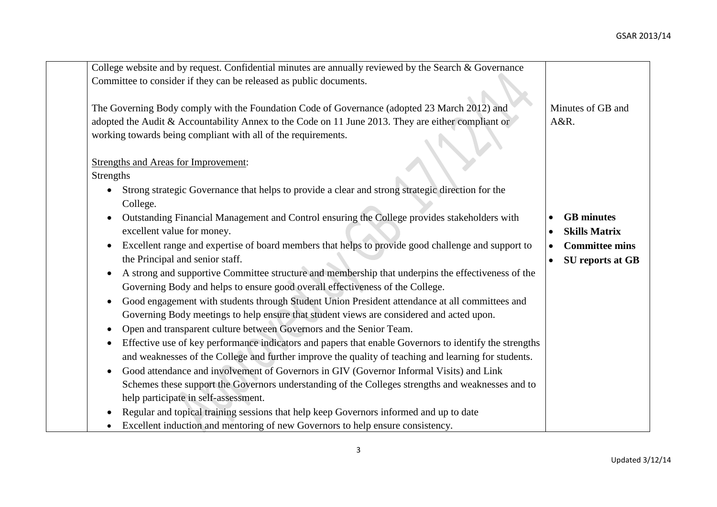| Committee to consider if they can be released as public documents.                                                                                                                                                                                                  |                                                                            |
|---------------------------------------------------------------------------------------------------------------------------------------------------------------------------------------------------------------------------------------------------------------------|----------------------------------------------------------------------------|
| The Governing Body comply with the Foundation Code of Governance (adopted 23 March 2012) and<br>adopted the Audit & Accountability Annex to the Code on 11 June 2013. They are either compliant or<br>working towards being compliant with all of the requirements. | Minutes of GB and<br>A&R.                                                  |
| <b>Strengths and Areas for Improvement:</b>                                                                                                                                                                                                                         |                                                                            |
| Strengths                                                                                                                                                                                                                                                           |                                                                            |
| Strong strategic Governance that helps to provide a clear and strong strategic direction for the<br>College.                                                                                                                                                        |                                                                            |
| Outstanding Financial Management and Control ensuring the College provides stakeholders with<br>excellent value for money.                                                                                                                                          | <b>GB</b> minutes<br><b>Skills Matrix</b>                                  |
| Excellent range and expertise of board members that helps to provide good challenge and support to<br>the Principal and senior staff.                                                                                                                               | <b>Committee mins</b><br>$\bullet$<br><b>SU</b> reports at GB<br>$\bullet$ |
| A strong and supportive Committee structure and membership that underpins the effectiveness of the<br>Governing Body and helps to ensure good overall effectiveness of the College.                                                                                 |                                                                            |
| Good engagement with students through Student Union President attendance at all committees and<br>Governing Body meetings to help ensure that student views are considered and acted upon.                                                                          |                                                                            |
| Open and transparent culture between Governors and the Senior Team.                                                                                                                                                                                                 |                                                                            |
| Effective use of key performance indicators and papers that enable Governors to identify the strengths<br>and weaknesses of the College and further improve the quality of teaching and learning for students.                                                      |                                                                            |
| Good attendance and involvement of Governors in GIV (Governor Informal Visits) and Link                                                                                                                                                                             |                                                                            |
| Schemes these support the Governors understanding of the Colleges strengths and weaknesses and to<br>help participate in self-assessment.                                                                                                                           |                                                                            |
| Regular and topical training sessions that help keep Governors informed and up to date                                                                                                                                                                              |                                                                            |
| Excellent induction and mentoring of new Governors to help ensure consistency.                                                                                                                                                                                      |                                                                            |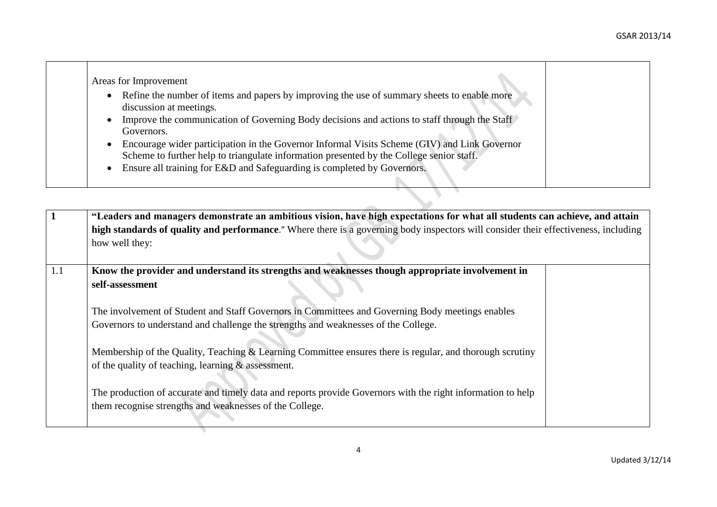| Areas for Improvement                                                                                                                                                                                                                            |  |
|--------------------------------------------------------------------------------------------------------------------------------------------------------------------------------------------------------------------------------------------------|--|
| Refine the number of items and papers by improving the use of summary sheets to enable more<br>$\bullet$<br>discussion at meetings.<br>Improve the communication of Governing Body decisions and actions to staff through the Staff<br>$\bullet$ |  |
| Governors.                                                                                                                                                                                                                                       |  |
| Encourage wider participation in the Governor Informal Visits Scheme (GIV) and Link Governor<br>$\bullet$<br>Scheme to further help to triangulate information presented by the College senior staff.                                            |  |
| Ensure all training for E&D and Safeguarding is completed by Governors.<br>$\bullet$                                                                                                                                                             |  |

**Septiment** 

| $\mathbf{1}$ | "Leaders and managers demonstrate an ambitious vision, have high expectations for what all students can achieve, and attain                                       |  |
|--------------|-------------------------------------------------------------------------------------------------------------------------------------------------------------------|--|
|              | high standards of quality and performance." Where there is a governing body inspectors will consider their effectiveness, including                               |  |
|              | how well they:                                                                                                                                                    |  |
|              |                                                                                                                                                                   |  |
| 1.1          | Know the provider and understand its strengths and weaknesses though appropriate involvement in                                                                   |  |
|              | self-assessment                                                                                                                                                   |  |
|              | The involvement of Student and Staff Governors in Committees and Governing Body meetings enables                                                                  |  |
|              | Governors to understand and challenge the strengths and weaknesses of the College.                                                                                |  |
|              | Membership of the Quality, Teaching & Learning Committee ensures there is regular, and thorough scrutiny<br>of the quality of teaching, learning $\&$ assessment. |  |
|              | The production of accurate and timely data and reports provide Governors with the right information to help                                                       |  |
|              | them recognise strengths and weaknesses of the College.                                                                                                           |  |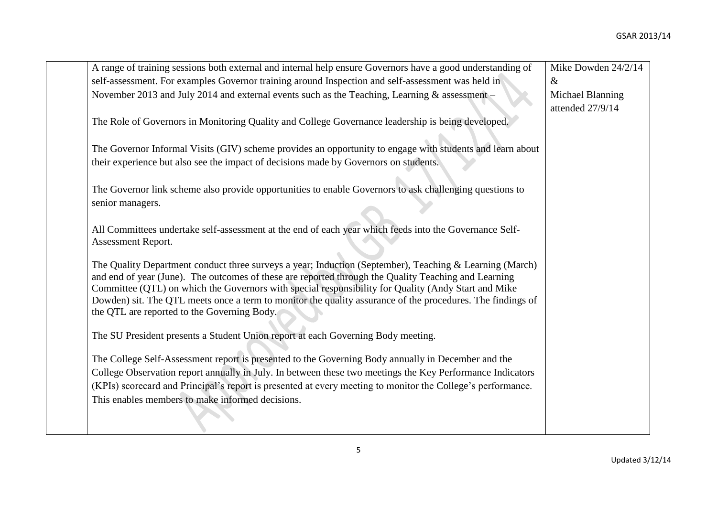| A range of training sessions both external and internal help ensure Governors have a good understanding of  | Mike Dowden 24/2/14 |
|-------------------------------------------------------------------------------------------------------------|---------------------|
| self-assessment. For examples Governor training around Inspection and self-assessment was held in           | $\&$                |
| November 2013 and July 2014 and external events such as the Teaching, Learning & assessment -               | Michael Blanning    |
|                                                                                                             | attended 27/9/14    |
| The Role of Governors in Monitoring Quality and College Governance leadership is being developed.           |                     |
|                                                                                                             |                     |
| The Governor Informal Visits (GIV) scheme provides an opportunity to engage with students and learn about   |                     |
| their experience but also see the impact of decisions made by Governors on students.                        |                     |
|                                                                                                             |                     |
| The Governor link scheme also provide opportunities to enable Governors to ask challenging questions to     |                     |
| senior managers.                                                                                            |                     |
|                                                                                                             |                     |
| All Committees undertake self-assessment at the end of each year which feeds into the Governance Self-      |                     |
| Assessment Report.                                                                                          |                     |
| The Quality Department conduct three surveys a year; Induction (September), Teaching & Learning (March)     |                     |
| and end of year (June). The outcomes of these are reported through the Quality Teaching and Learning        |                     |
| Committee (QTL) on which the Governors with special responsibility for Quality (Andy Start and Mike         |                     |
| Dowden) sit. The QTL meets once a term to monitor the quality assurance of the procedures. The findings of  |                     |
| the QTL are reported to the Governing Body.                                                                 |                     |
| The SU President presents a Student Union report at each Governing Body meeting.                            |                     |
|                                                                                                             |                     |
| The College Self-Assessment report is presented to the Governing Body annually in December and the          |                     |
| College Observation report annually in July. In between these two meetings the Key Performance Indicators   |                     |
| (KPIs) scorecard and Principal's report is presented at every meeting to monitor the College's performance. |                     |
| This enables members to make informed decisions.                                                            |                     |
|                                                                                                             |                     |
|                                                                                                             |                     |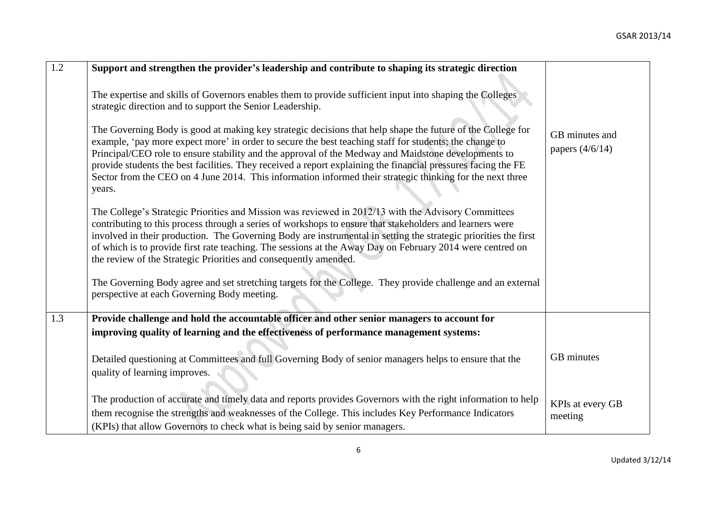| 1.2 | Support and strengthen the provider's leadership and contribute to shaping its strategic direction                                                                                                                                                                                                                                                                                                                                                                                                                                                                                                                                                                                                                                           |                                     |
|-----|----------------------------------------------------------------------------------------------------------------------------------------------------------------------------------------------------------------------------------------------------------------------------------------------------------------------------------------------------------------------------------------------------------------------------------------------------------------------------------------------------------------------------------------------------------------------------------------------------------------------------------------------------------------------------------------------------------------------------------------------|-------------------------------------|
|     | The expertise and skills of Governors enables them to provide sufficient input into shaping the Colleges<br>strategic direction and to support the Senior Leadership.<br>The Governing Body is good at making key strategic decisions that help shape the future of the College for<br>example, 'pay more expect more' in order to secure the best teaching staff for students; the change to<br>Principal/CEO role to ensure stability and the approval of the Medway and Maidstone developments to<br>provide students the best facilities. They received a report explaining the financial pressures facing the FE<br>Sector from the CEO on 4 June 2014. This information informed their strategic thinking for the next three<br>years. | GB minutes and<br>papers $(4/6/14)$ |
|     | The College's Strategic Priorities and Mission was reviewed in 2012/13 with the Advisory Committees<br>contributing to this process through a series of workshops to ensure that stakeholders and learners were<br>involved in their production. The Governing Body are instrumental in setting the strategic priorities the first<br>of which is to provide first rate teaching. The sessions at the Away Day on February 2014 were centred on<br>the review of the Strategic Priorities and consequently amended.<br>The Governing Body agree and set stretching targets for the College. They provide challenge and an external<br>perspective at each Governing Body meeting.                                                            |                                     |
|     |                                                                                                                                                                                                                                                                                                                                                                                                                                                                                                                                                                                                                                                                                                                                              |                                     |
| 1.3 | Provide challenge and hold the accountable officer and other senior managers to account for                                                                                                                                                                                                                                                                                                                                                                                                                                                                                                                                                                                                                                                  |                                     |
|     | improving quality of learning and the effectiveness of performance management systems:                                                                                                                                                                                                                                                                                                                                                                                                                                                                                                                                                                                                                                                       |                                     |
|     | Detailed questioning at Committees and full Governing Body of senior managers helps to ensure that the                                                                                                                                                                                                                                                                                                                                                                                                                                                                                                                                                                                                                                       | GB minutes                          |
|     | quality of learning improves.                                                                                                                                                                                                                                                                                                                                                                                                                                                                                                                                                                                                                                                                                                                |                                     |
|     | The production of accurate and timely data and reports provides Governors with the right information to help<br>them recognise the strengths and weaknesses of the College. This includes Key Performance Indicators<br>(KPIs) that allow Governors to check what is being said by senior managers.                                                                                                                                                                                                                                                                                                                                                                                                                                          | KPIs at every GB<br>meeting         |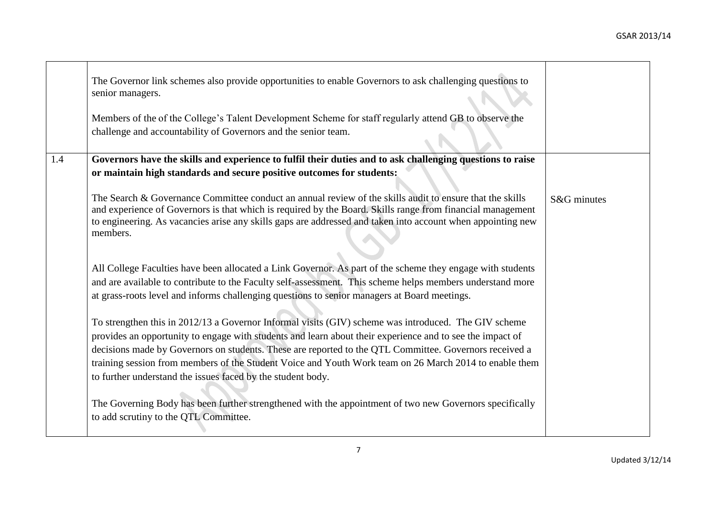|     | The Governor link schemes also provide opportunities to enable Governors to ask challenging questions to<br>senior managers.<br>Members of the of the College's Talent Development Scheme for staff regularly attend GB to observe the<br>challenge and accountability of Governors and the senior team.                                                                                                                                                                                             |             |
|-----|------------------------------------------------------------------------------------------------------------------------------------------------------------------------------------------------------------------------------------------------------------------------------------------------------------------------------------------------------------------------------------------------------------------------------------------------------------------------------------------------------|-------------|
| 1.4 | Governors have the skills and experience to fulfil their duties and to ask challenging questions to raise                                                                                                                                                                                                                                                                                                                                                                                            |             |
|     | or maintain high standards and secure positive outcomes for students:                                                                                                                                                                                                                                                                                                                                                                                                                                |             |
|     | The Search & Governance Committee conduct an annual review of the skills audit to ensure that the skills<br>and experience of Governors is that which is required by the Board. Skills range from financial management<br>to engineering. As vacancies arise any skills gaps are addressed and taken into account when appointing new<br>members.                                                                                                                                                    | S&G minutes |
|     | All College Faculties have been allocated a Link Governor. As part of the scheme they engage with students<br>and are available to contribute to the Faculty self-assessment. This scheme helps members understand more<br>at grass-roots level and informs challenging questions to senior managers at Board meetings.                                                                                                                                                                              |             |
|     | To strengthen this in 2012/13 a Governor Informal visits (GIV) scheme was introduced. The GIV scheme<br>provides an opportunity to engage with students and learn about their experience and to see the impact of<br>decisions made by Governors on students. These are reported to the QTL Committee. Governors received a<br>training session from members of the Student Voice and Youth Work team on 26 March 2014 to enable them<br>to further understand the issues faced by the student body. |             |
|     | The Governing Body has been further strengthened with the appointment of two new Governors specifically<br>to add scrutiny to the QTL Committee.                                                                                                                                                                                                                                                                                                                                                     |             |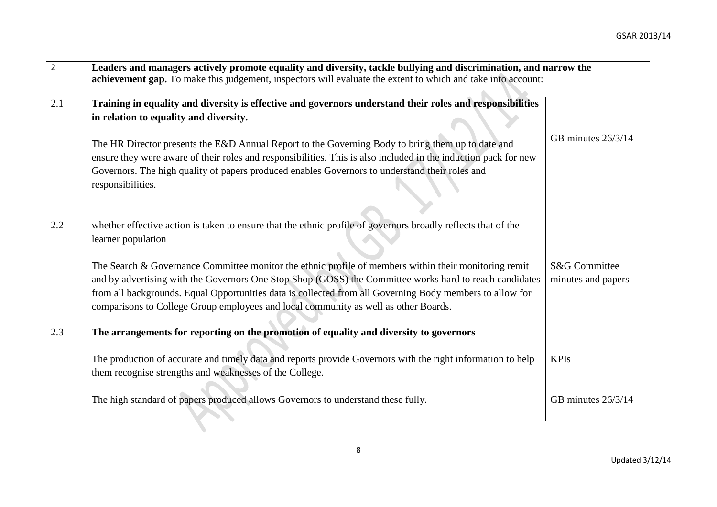| $\overline{2}$ | Leaders and managers actively promote equality and diversity, tackle bullying and discrimination, and narrow the<br>achievement gap. To make this judgement, inspectors will evaluate the extent to which and take into account:                                                                                                                                                                                    |                                     |
|----------------|---------------------------------------------------------------------------------------------------------------------------------------------------------------------------------------------------------------------------------------------------------------------------------------------------------------------------------------------------------------------------------------------------------------------|-------------------------------------|
| 2.1            | Training in equality and diversity is effective and governors understand their roles and responsibilities                                                                                                                                                                                                                                                                                                           |                                     |
|                | in relation to equality and diversity.                                                                                                                                                                                                                                                                                                                                                                              |                                     |
|                | The HR Director presents the E&D Annual Report to the Governing Body to bring them up to date and<br>ensure they were aware of their roles and responsibilities. This is also included in the induction pack for new<br>Governors. The high quality of papers produced enables Governors to understand their roles and<br>responsibilities.                                                                         | GB minutes 26/3/14                  |
|                |                                                                                                                                                                                                                                                                                                                                                                                                                     |                                     |
| 2.2            | whether effective action is taken to ensure that the ethnic profile of governors broadly reflects that of the<br>learner population                                                                                                                                                                                                                                                                                 |                                     |
|                | The Search & Governance Committee monitor the ethnic profile of members within their monitoring remit<br>and by advertising with the Governors One Stop Shop (GOSS) the Committee works hard to reach candidates<br>from all backgrounds. Equal Opportunities data is collected from all Governing Body members to allow for<br>comparisons to College Group employees and local community as well as other Boards. | S&G Committee<br>minutes and papers |
| 2.3            | The arrangements for reporting on the promotion of equality and diversity to governors                                                                                                                                                                                                                                                                                                                              |                                     |
|                | The production of accurate and timely data and reports provide Governors with the right information to help<br>them recognise strengths and weaknesses of the College.                                                                                                                                                                                                                                              | <b>KPIs</b>                         |
|                | The high standard of papers produced allows Governors to understand these fully.                                                                                                                                                                                                                                                                                                                                    | GB minutes 26/3/14                  |
|                |                                                                                                                                                                                                                                                                                                                                                                                                                     |                                     |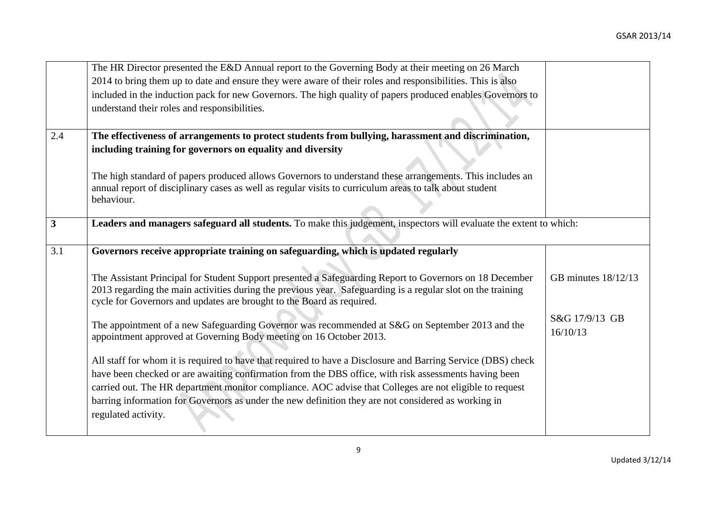|                | The HR Director presented the E&D Annual report to the Governing Body at their meeting on 26 March<br>2014 to bring them up to date and ensure they were aware of their roles and responsibilities. This is also<br>included in the induction pack for new Governors. The high quality of papers produced enables Governors to<br>understand their roles and responsibilities. |                            |
|----------------|--------------------------------------------------------------------------------------------------------------------------------------------------------------------------------------------------------------------------------------------------------------------------------------------------------------------------------------------------------------------------------|----------------------------|
| 2.4            | The effectiveness of arrangements to protect students from bullying, harassment and discrimination,                                                                                                                                                                                                                                                                            |                            |
|                | including training for governors on equality and diversity                                                                                                                                                                                                                                                                                                                     |                            |
|                | The high standard of papers produced allows Governors to understand these arrangements. This includes an<br>annual report of disciplinary cases as well as regular visits to curriculum areas to talk about student<br>behaviour.                                                                                                                                              |                            |
| $\overline{3}$ | Leaders and managers safeguard all students. To make this judgement, inspectors will evaluate the extent to which:                                                                                                                                                                                                                                                             |                            |
| 3.1            | Governors receive appropriate training on safeguarding, which is updated regularly                                                                                                                                                                                                                                                                                             |                            |
|                | The Assistant Principal for Student Support presented a Safeguarding Report to Governors on 18 December<br>2013 regarding the main activities during the previous year. Safeguarding is a regular slot on the training<br>cycle for Governors and updates are brought to the Board as required.                                                                                | GB minutes 18/12/13        |
|                | The appointment of a new Safeguarding Governor was recommended at S&G on September 2013 and the<br>appointment approved at Governing Body meeting on 16 October 2013.                                                                                                                                                                                                          | S&G 17/9/13 GB<br>16/10/13 |
|                | All staff for whom it is required to have that required to have a Disclosure and Barring Service (DBS) check                                                                                                                                                                                                                                                                   |                            |
|                | have been checked or are awaiting confirmation from the DBS office, with risk assessments having been                                                                                                                                                                                                                                                                          |                            |
|                | carried out. The HR department monitor compliance. AOC advise that Colleges are not eligible to request                                                                                                                                                                                                                                                                        |                            |
|                | barring information for Governors as under the new definition they are not considered as working in                                                                                                                                                                                                                                                                            |                            |
|                | regulated activity.                                                                                                                                                                                                                                                                                                                                                            |                            |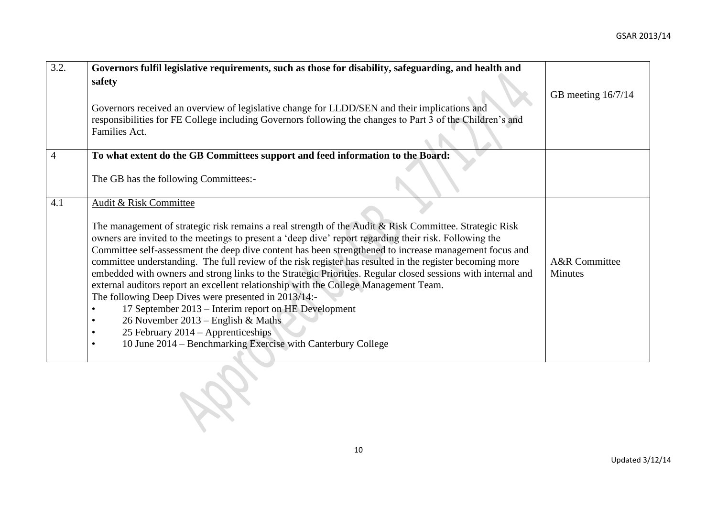| 3.2.           | Governors fulfil legislative requirements, such as those for disability, safeguarding, and health and        |                    |
|----------------|--------------------------------------------------------------------------------------------------------------|--------------------|
|                | safety                                                                                                       |                    |
|                |                                                                                                              | GB meeting 16/7/14 |
|                | Governors received an overview of legislative change for LLDD/SEN and their implications and                 |                    |
|                | responsibilities for FE College including Governors following the changes to Part 3 of the Children's and    |                    |
|                | Families Act.                                                                                                |                    |
|                |                                                                                                              |                    |
| $\overline{4}$ | To what extent do the GB Committees support and feed information to the Board:                               |                    |
|                |                                                                                                              |                    |
|                | The GB has the following Committees:-                                                                        |                    |
| 4.1            | Audit & Risk Committee                                                                                       |                    |
|                |                                                                                                              |                    |
|                | The management of strategic risk remains a real strength of the Audit & Risk Committee. Strategic Risk       |                    |
|                | owners are invited to the meetings to present a 'deep dive' report regarding their risk. Following the       |                    |
|                | Committee self-assessment the deep dive content has been strengthened to increase management focus and       |                    |
|                | committee understanding. The full review of the risk register has resulted in the register becoming more     | A&R Committee      |
|                | embedded with owners and strong links to the Strategic Priorities. Regular closed sessions with internal and | Minutes            |
|                | external auditors report an excellent relationship with the College Management Team.                         |                    |
|                | The following Deep Dives were presented in 2013/14:-                                                         |                    |
|                | 17 September 2013 – Interim report on HE Development<br>26 November 2013 – English & Maths                   |                    |
|                | 25 February 2014 – Apprenticeships                                                                           |                    |
|                | 10 June 2014 - Benchmarking Exercise with Canterbury College<br>$\bullet$                                    |                    |
|                |                                                                                                              |                    |
|                |                                                                                                              |                    |
|                |                                                                                                              |                    |
|                |                                                                                                              |                    |
|                |                                                                                                              |                    |
|                |                                                                                                              |                    |
|                |                                                                                                              |                    |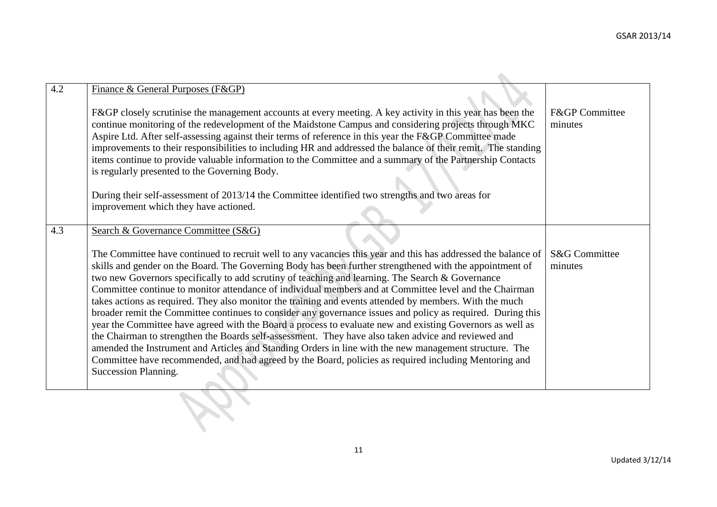| 4.2 | Finance & General Purposes (F&GP)                                                                                                                                                                            |                           |
|-----|--------------------------------------------------------------------------------------------------------------------------------------------------------------------------------------------------------------|---------------------------|
|     | F&GP closely scrutinise the management accounts at every meeting. A key activity in this year has been the                                                                                                   | <b>F&amp;GP</b> Committee |
|     | continue monitoring of the redevelopment of the Maidstone Campus and considering projects through MKC                                                                                                        | minutes                   |
|     | Aspire Ltd. After self-assessing against their terms of reference in this year the F&GP Committee made                                                                                                       |                           |
|     | improvements to their responsibilities to including HR and addressed the balance of their remit. The standing                                                                                                |                           |
|     | items continue to provide valuable information to the Committee and a summary of the Partnership Contacts                                                                                                    |                           |
|     | is regularly presented to the Governing Body.                                                                                                                                                                |                           |
|     | During their self-assessment of 2013/14 the Committee identified two strengths and two areas for                                                                                                             |                           |
|     | improvement which they have actioned.                                                                                                                                                                        |                           |
|     |                                                                                                                                                                                                              |                           |
| 4.3 | Search & Governance Committee (S&G)                                                                                                                                                                          |                           |
|     |                                                                                                                                                                                                              |                           |
|     | The Committee have continued to recruit well to any vacancies this year and this has addressed the balance of                                                                                                | S&G Committee             |
|     | skills and gender on the Board. The Governing Body has been further strengthened with the appointment of<br>two new Governors specifically to add scrutiny of teaching and learning. The Search & Governance | minutes                   |
|     | Committee continue to monitor attendance of individual members and at Committee level and the Chairman                                                                                                       |                           |
|     | takes actions as required. They also monitor the training and events attended by members. With the much                                                                                                      |                           |
|     | broader remit the Committee continues to consider any governance issues and policy as required. During this                                                                                                  |                           |
|     | year the Committee have agreed with the Board a process to evaluate new and existing Governors as well as                                                                                                    |                           |
|     | the Chairman to strengthen the Boards self-assessment. They have also taken advice and reviewed and                                                                                                          |                           |
|     | amended the Instrument and Articles and Standing Orders in line with the new management structure. The                                                                                                       |                           |
|     | Committee have recommended, and had agreed by the Board, policies as required including Mentoring and                                                                                                        |                           |
|     | Succession Planning.                                                                                                                                                                                         |                           |
|     |                                                                                                                                                                                                              |                           |
|     |                                                                                                                                                                                                              |                           |
|     |                                                                                                                                                                                                              |                           |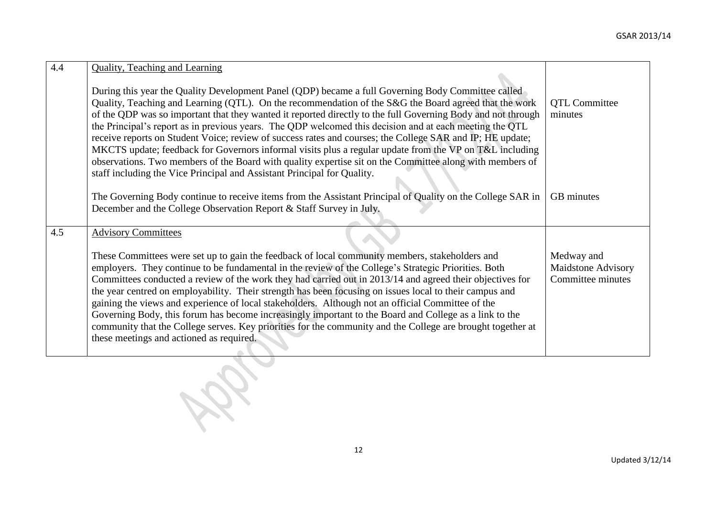| 4.4 | <b>Quality, Teaching and Learning</b>                                                                                                                                                                                                                                                                                                                                                                                                                                                                                                                                                                                                                                                                                                                                                                                                                 |                                                       |
|-----|-------------------------------------------------------------------------------------------------------------------------------------------------------------------------------------------------------------------------------------------------------------------------------------------------------------------------------------------------------------------------------------------------------------------------------------------------------------------------------------------------------------------------------------------------------------------------------------------------------------------------------------------------------------------------------------------------------------------------------------------------------------------------------------------------------------------------------------------------------|-------------------------------------------------------|
|     | During this year the Quality Development Panel (QDP) became a full Governing Body Committee called<br>Quality, Teaching and Learning (QTL). On the recommendation of the S&G the Board agreed that the work<br>of the QDP was so important that they wanted it reported directly to the full Governing Body and not through<br>the Principal's report as in previous years. The QDP welcomed this decision and at each meeting the QTL<br>receive reports on Student Voice; review of success rates and courses; the College SAR and IP; HE update;<br>MKCTS update; feedback for Governors informal visits plus a regular update from the VP on T&L including<br>observations. Two members of the Board with quality expertise sit on the Committee along with members of<br>staff including the Vice Principal and Assistant Principal for Quality. | <b>QTL Committee</b><br>minutes                       |
|     | The Governing Body continue to receive items from the Assistant Principal of Quality on the College SAR in<br>December and the College Observation Report & Staff Survey in July.                                                                                                                                                                                                                                                                                                                                                                                                                                                                                                                                                                                                                                                                     | GB minutes                                            |
| 4.5 | <b>Advisory Committees</b>                                                                                                                                                                                                                                                                                                                                                                                                                                                                                                                                                                                                                                                                                                                                                                                                                            |                                                       |
|     | These Committees were set up to gain the feedback of local community members, stakeholders and<br>employers. They continue to be fundamental in the review of the College's Strategic Priorities. Both<br>Committees conducted a review of the work they had carried out in 2013/14 and agreed their objectives for<br>the year centred on employability. Their strength has been focusing on issues local to their campus and<br>gaining the views and experience of local stakeholders. Although not an official Committee of the<br>Governing Body, this forum has become increasingly important to the Board and College as a link to the<br>community that the College serves. Key priorities for the community and the College are brought together at<br>these meetings and actioned as required.                                              | Medway and<br>Maidstone Advisory<br>Committee minutes |
|     |                                                                                                                                                                                                                                                                                                                                                                                                                                                                                                                                                                                                                                                                                                                                                                                                                                                       |                                                       |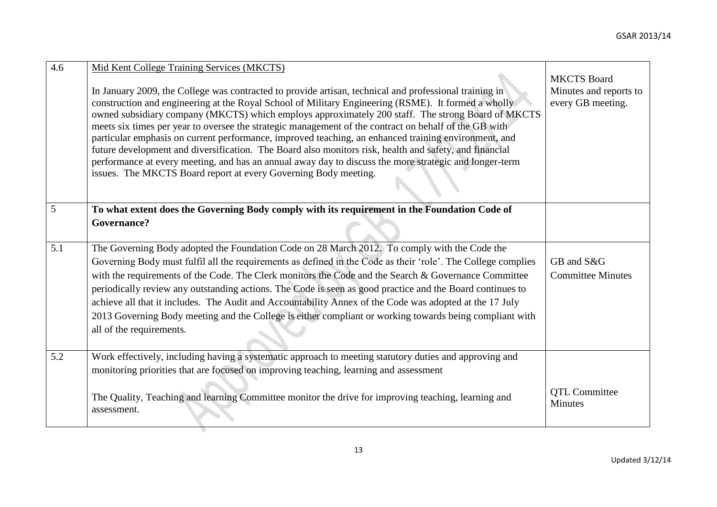| 4.6 | Mid Kent College Training Services (MKCTS)<br>In January 2009, the College was contracted to provide artisan, technical and professional training in<br>construction and engineering at the Royal School of Military Engineering (RSME). It formed a wholly<br>owned subsidiary company (MKCTS) which employs approximately 200 staff. The strong Board of MKCTS<br>meets six times per year to oversee the strategic management of the contract on behalf of the GB with<br>particular emphasis on current performance, improved teaching, an enhanced training environment, and<br>future development and diversification. The Board also monitors risk, health and safety, and financial<br>performance at every meeting, and has an annual away day to discuss the more strategic and longer-term<br>issues. The MKCTS Board report at every Governing Body meeting. |                                        |  |  |
|-----|--------------------------------------------------------------------------------------------------------------------------------------------------------------------------------------------------------------------------------------------------------------------------------------------------------------------------------------------------------------------------------------------------------------------------------------------------------------------------------------------------------------------------------------------------------------------------------------------------------------------------------------------------------------------------------------------------------------------------------------------------------------------------------------------------------------------------------------------------------------------------|----------------------------------------|--|--|
|     |                                                                                                                                                                                                                                                                                                                                                                                                                                                                                                                                                                                                                                                                                                                                                                                                                                                                          |                                        |  |  |
| 5   | To what extent does the Governing Body comply with its requirement in the Foundation Code of<br><b>Governance?</b>                                                                                                                                                                                                                                                                                                                                                                                                                                                                                                                                                                                                                                                                                                                                                       |                                        |  |  |
| 5.1 | The Governing Body adopted the Foundation Code on 28 March 2012. To comply with the Code the<br>Governing Body must fulfil all the requirements as defined in the Code as their 'role'. The College complies<br>with the requirements of the Code. The Clerk monitors the Code and the Search & Governance Committee<br>periodically review any outstanding actions. The Code is seen as good practice and the Board continues to<br>achieve all that it includes. The Audit and Accountability Annex of the Code was adopted at the 17 July<br>2013 Governing Body meeting and the College is either compliant or working towards being compliant with<br>all of the requirements.                                                                                                                                                                                      | GB and S&G<br><b>Committee Minutes</b> |  |  |
| 5.2 | Work effectively, including having a systematic approach to meeting statutory duties and approving and<br>monitoring priorities that are focused on improving teaching, learning and assessment<br>The Quality, Teaching and learning Committee monitor the drive for improving teaching, learning and<br>assessment.                                                                                                                                                                                                                                                                                                                                                                                                                                                                                                                                                    | <b>QTL Committee</b><br><b>Minutes</b> |  |  |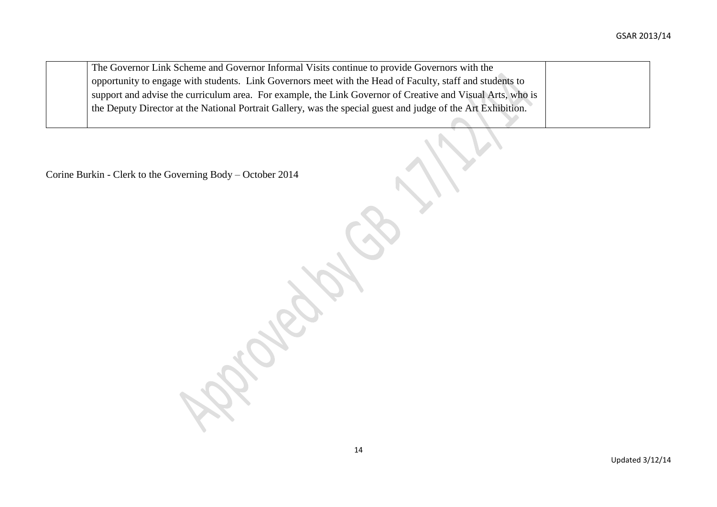The Governor Link Scheme and Governor Informal Visits continue to provide Governors with the opportunity to engage with students. Link Governors meet with the Head of Faculty, staff and students to support and advise the curriculum area. For example, the Link Governor of Creative and Visual Arts, who is the Deputy Director at the National Portrait Gallery, was the special guest and judge of the Art Exhibition.

Corine Burkin - Clerk to the Governing Body – October 2014